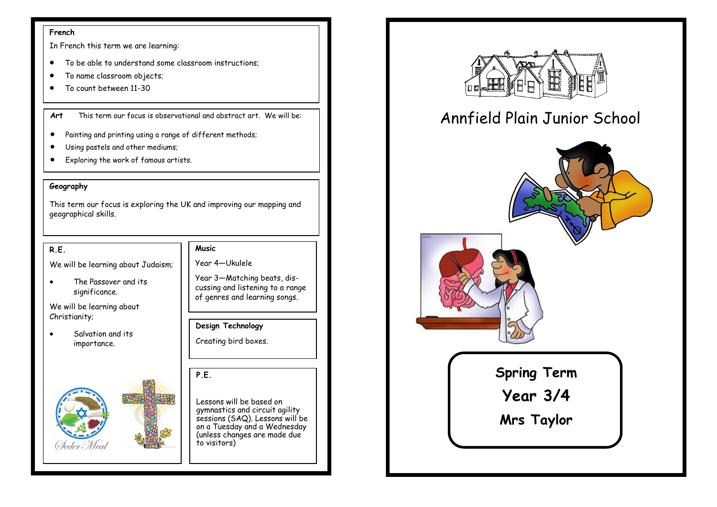#### **French**

In French this term we are learning:

- To be able to understand some classroom instructions;
- To name classroom objects;
- To count between 11-30

**Art** This term our focus is observational and abstract art. We will be:

- Painting and printing using a range of different methods;
- Using pastels and other mediums;
- Exploring the work of famous artists.

#### **Geography**

This term our focus is exploring the UK and improving our mapping and geographical skills.

#### **R.E.**

We will be learning about Judaism;

• The Passover and its significance.

We will be learning about Christianity;

Salvation and its importance.



## **Music**

Year 4—Ukulele

Year 3—Matching beats, discussing and listening to a range of genres and learning songs.

**Design Technology** Creating bird boxes.

**P.E.** 

Lessons will be based on gymnastics and circuit agility sessions (SAQ). Lessons will be on a Tuesday and a Wednesday (unless changes are made due to visitors)



# Annfield Plain Junior School